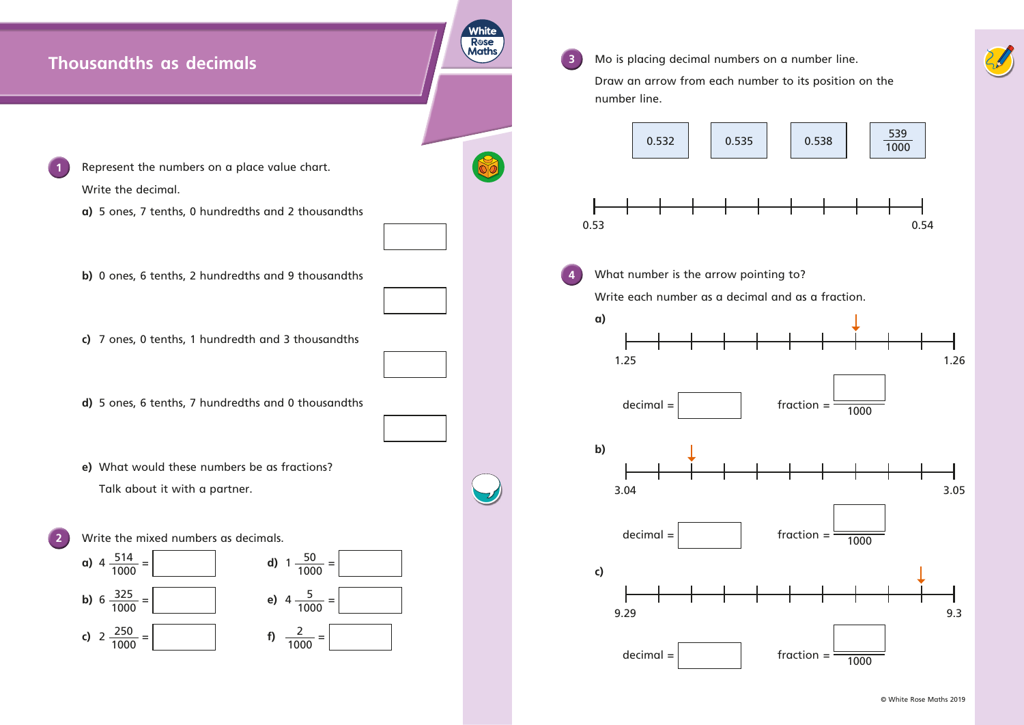

**e)** What would these numbers be as fractions? Talk about it with a partner. 



**3** Mo is placing decimal numbers on a number line. Draw an arrow from each number to its position on the number line. 0.53 0.54 **4** What number is the arrow pointing to? Write each number as a decimal and as a fraction. **a)** decimal =  $\vert$  fraction =  $\frac{1000}{\sqrt{1000}}$ **b)**  $\text{decimal} = \left| \right|$  fraction =  $\frac{1000}{\sqrt{1000}}$ **c)**  $\text{decimal} = \left| \right|$  fraction =  $\frac{1}{1000}$ 

**White R**ose **Maths**